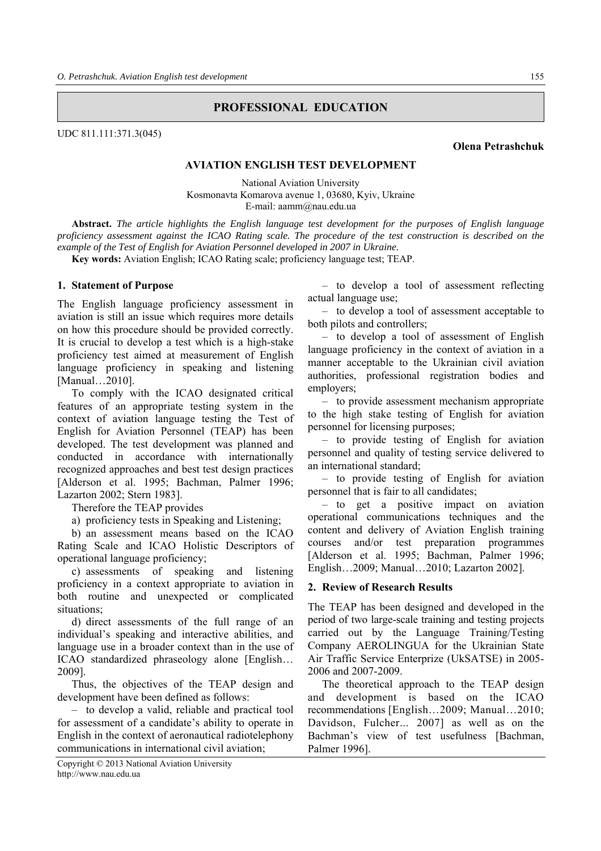# **PROFESSIONAL EDUCATION**

UDC 811.111:371.3(045)

#### **Olena Petrashchuk**

# **AVIATION ENGLISH TEST DEVELOPMENT**

National Aviation University Kosmonavta Komarova avenue 1, 03680, Kyiv, Ukraine Е-mail: aamm@nau.edu.ua

**Abstract.** *The article highlights the English language test development for the purposes of English language proficiency assessment against the ICAO Rating scale. The procedure of the test construction is described on the example of the Test of English for Aviation Personnel developed in 2007 in Ukraine.* 

**Key words:** Aviation English; ICAO Rating scale; proficiency language test; TEAP.

## **1. Statement of Purpose**

The English language proficiency assessment in aviation is still an issue which requires more details on how this procedure should be provided correctly. It is crucial to develop a test which is a high-stake proficiency test aimed at measurement of English language proficiency in speaking and listening [Manual…2010].

To comply with the ICAO designated critical features of an appropriate testing system in the context of aviation language testing the Test of English for Aviation Personnel (TEAP) has been developed. The test development was planned and conducted in accordance with internationally recognized approaches and best test design practices [Alderson et al. 1995; Bachman, Palmer 1996; Lazarton 2002; Stern 1983].

Therefore the TEAP provides

a) proficiency tests in Speaking and Listening;

b) an assessment means based on the ICAO Rating Scale and ICAO Holistic Descriptors of operational language proficiency;

c) assessments of speaking and listening proficiency in a context appropriate to aviation in both routine and unexpected or complicated situations;

d) direct assessments of the full range of an individual's speaking and interactive abilities, and language use in a broader context than in the use of ICAO standardized phraseology alone [English… 2009].

Thus, the objectives of the TEAP design and development have been defined as follows:

– to develop a valid, reliable and practical tool for assessment of a candidate's ability to operate in English in the context of aeronautical radiotelephony communications in international civil aviation;

Copyright © 2013 National Aviation University http://www.nau.edu.ua

– to develop a tool of assessment reflecting actual language use;

– to develop a tool of assessment acceptable to both pilots and controllers;

– to develop a tool of assessment of English language proficiency in the context of aviation in a manner acceptable to the Ukrainian civil aviation authorities, professional registration bodies and employers;

– to provide assessment mechanism appropriate to the high stake testing of English for aviation personnel for licensing purposes;

– to provide testing of English for aviation personnel and quality of testing service delivered to an international standard;

– to provide testing of English for aviation personnel that is fair to all candidates;

– to get a positive impact on aviation operational communications techniques and the content and delivery of Aviation English training courses and/or test preparation programmes [Alderson et al. 1995; Bachman, Palmer 1996; English…2009; Manual…2010; Lazarton 2002].

#### **2. Review of Research Results**

The TEAP has been designed and developed in the period of two large-scale training and testing projects carried out by the Language Training/Testing Company AEROLINGUA for the Ukrainian State Air Traffic Service Enterprize (UkSATSE) in 2005- 2006 and 2007-2009.

The theoretical approach to the TEAP design and development is based on the ICAO recommendations [English…2009; Manual…2010; Davidson, Fulcher... 2007] as well as on the Bachman's view of test usefulness [Bachman, Palmer 1996].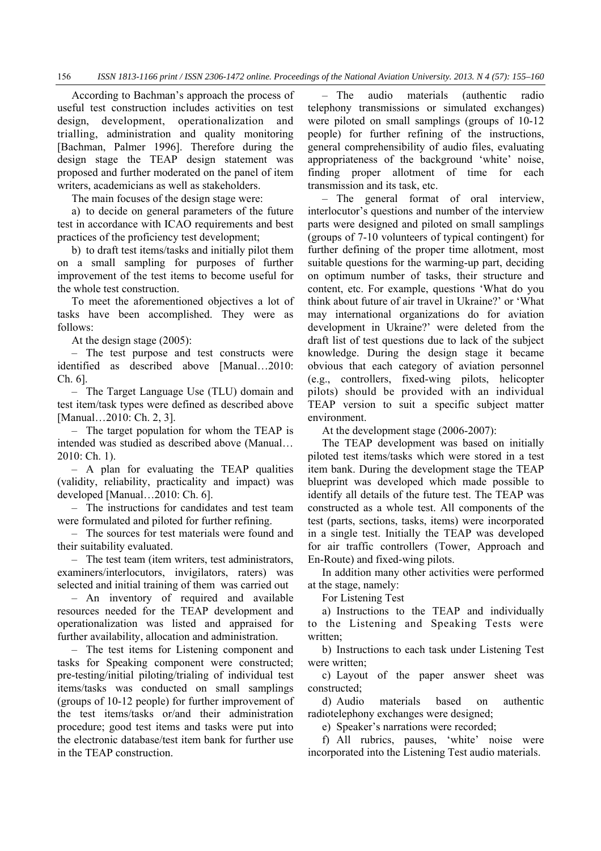According to Bachman's approach the process of useful test construction includes activities on test design, development, operationalization and trialling, administration and quality monitoring [Bachman, Palmer 1996]. Therefore during the design stage the TEAP design statement was proposed and further moderated on the panel of item writers, academicians as well as stakeholders.

The main focuses of the design stage were:

a) to decide on general parameters of the future test in accordance with ICAO requirements and best practices of the proficiency test development;

b) to draft test items/tasks and initially pilot them on a small sampling for purposes of further improvement of the test items to become useful for the whole test construction.

To meet the aforementioned objectives a lot of tasks have been accomplished. They were as follows:

At the design stage (2005):

– The test purpose and test constructs were identified as described above [Manual…2010: Ch. 6].

– The Target Language Use (TLU) domain and test item/task types were defined as described above [Manual...2010: Ch. 2, 3].

– The target population for whom the TEAP is intended was studied as described above (Manual… 2010: Ch. 1).

– A plan for evaluating the TEAP qualities (validity, reliability, practicality and impact) was developed [Manual…2010: Ch. 6].

– The instructions for candidates and test team were formulated and piloted for further refining.

– The sources for test materials were found and their suitability evaluated.

– The test team (item writers, test administrators, examiners/interlocutors, invigilators, raters) was selected and initial training of them was carried out

– An inventory of required and available resources needed for the TEAP development and operationalization was listed and appraised for further availability, allocation and administration.

– The test items for Listening component and tasks for Speaking component were constructed; pre-testing/initial piloting/trialing of individual test items/tasks was conducted on small samplings (groups of 10-12 people) for further improvement of the test items/tasks or/and their administration procedure; good test items and tasks were put into the electronic database/test item bank for further use in the TEAP construction.

– The audio materials (authentic radio telephony transmissions or simulated exchanges) were piloted on small samplings (groups of 10-12 people) for further refining of the instructions, general comprehensibility of audio files, evaluating appropriateness of the background 'white' noise, finding proper allotment of time for each transmission and its task, etc.

– The general format of oral interview, interlocutor's questions and number of the interview parts were designed and piloted on small samplings (groups of 7-10 volunteers of typical contingent) for further defining of the proper time allotment, most suitable questions for the warming-up part, deciding on optimum number of tasks, their structure and content, etc. For example, questions 'What do you think about future of air travel in Ukraine?' or 'What may international organizations do for aviation development in Ukraine?' were deleted from the draft list of test questions due to lack of the subject knowledge. During the design stage it became obvious that each category of aviation personnel (e.g., controllers, fixed-wing pilots, helicopter pilots) should be provided with an individual TEAP version to suit a specific subject matter environment.

At the development stage (2006-2007):

The TEAP development was based on initially piloted test items/tasks which were stored in a test item bank. During the development stage the TEAP blueprint was developed which made possible to identify all details of the future test. The TEAP was constructed as a whole test. All components of the test (parts, sections, tasks, items) were incorporated in a single test. Initially the TEAP was developed for air traffic controllers (Tower, Approach and En-Route) and fixed-wing pilots.

In addition many other activities were performed at the stage, namely:

For Listening Test

a) Instructions to the TEAP and individually to the Listening and Speaking Tests were written;

b) Instructions to each task under Listening Test were written;

c) Layout of the paper answer sheet was constructed;

d) Audio materials based on authentic radiotelephony exchanges were designed;

e) Speaker's narrations were recorded;

f) All rubrics, pauses, 'white' noise were incorporated into the Listening Test audio materials.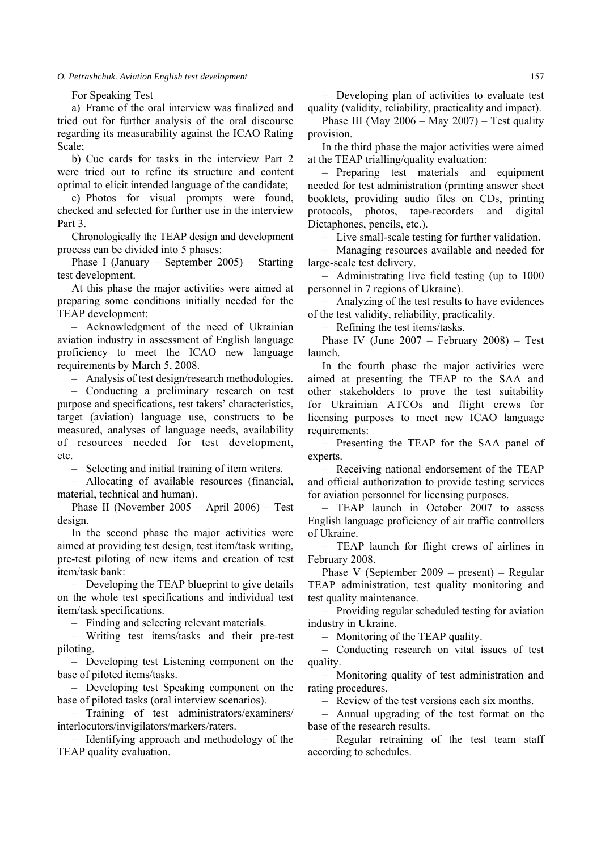#### For Speaking Test

a) Frame of the oral interview was finalized and tried out for further analysis of the oral discourse regarding its measurability against the ICAO Rating Scale;

b) Cue cards for tasks in the interview Part 2 were tried out to refine its structure and content optimal to elicit intended language of the candidate;

c) Photos for visual prompts were found, checked and selected for further use in the interview Part 3.

Chronologically the TEAP design and development process can be divided into 5 phases:

Phase I (January – September 2005) – Starting test development.

At this phase the major activities were aimed at preparing some conditions initially needed for the TEAP development:

– Acknowledgment of the need of Ukrainian aviation industry in assessment of English language proficiency to meet the ICAO new language requirements by March 5, 2008.

– Analysis of test design/research methodologies.

– Conducting a preliminary research on test purpose and specifications, test takers' characteristics, target (aviation) language use, constructs to be measured, analyses of language needs, availability of resources needed for test development, etc.

– Selecting and initial training of item writers.

– Allocating of available resources (financial, material, technical and human).

Phase II (November 2005 – April 2006) – Test design.

In the second phase the major activities were aimed at providing test design, test item/task writing, pre-test piloting of new items and creation of test item/task bank:

– Developing the TEAP blueprint to give details on the whole test specifications and individual test item/task specifications.

– Finding and selecting relevant materials.

– Writing test items/tasks and their pre-test piloting.

– Developing test Listening component on the base of piloted items/tasks.

– Developing test Speaking component on the base of piloted tasks (oral interview scenarios).

– Training of test administrators/examiners/ interlocutors/invigilators/markers/raters.

– Identifying approach and methodology of the TEAP quality evaluation.

– Developing plan of activities to evaluate test quality (validity, reliability, practicality and impact).

Phase III (May 2006 – May 2007) – Test quality provision.

In the third phase the major activities were aimed at the TEAP trialling/quality evaluation:

– Preparing test materials and equipment needed for test administration (printing answer sheet booklets, providing audio files on CDs, printing protocols, photos, tape-recorders and digital Dictaphones, pencils, etc.).

– Live small-scale testing for further validation.

– Managing resources available and needed for large-scale test delivery.

– Administrating live field testing (up to 1000 personnel in 7 regions of Ukraine).

– Analyzing of the test results to have evidences of the test validity, reliability, practicality.

– Refining the test items/tasks.

Phase IV (June 2007 – February 2008) – Test launch.

In the fourth phase the major activities were aimed at presenting the TEAP to the SAA and other stakeholders to prove the test suitability for Ukrainian ATCOs and flight crews for licensing purposes to meet new ICAO language requirements:

– Presenting the TEAP for the SAA panel of experts.

– Receiving national endorsement of the TEAP and official authorization to provide testing services for aviation personnel for licensing purposes.

– TEAP launch in October 2007 to assess English language proficiency of air traffic controllers of Ukraine.

– TEAP launch for flight crews of airlines in February 2008.

Phase V (September 2009 – present) – Regular TEAP administration, test quality monitoring and test quality maintenance.

– Providing regular scheduled testing for aviation industry in Ukraine.

– Monitoring of the TEAP quality.

– Conducting research on vital issues of test quality.

– Monitoring quality of test administration and rating procedures.

– Review of the test versions each six months.

– Annual upgrading of the test format on the base of the research results.

– Regular retraining of the test team staff according to schedules.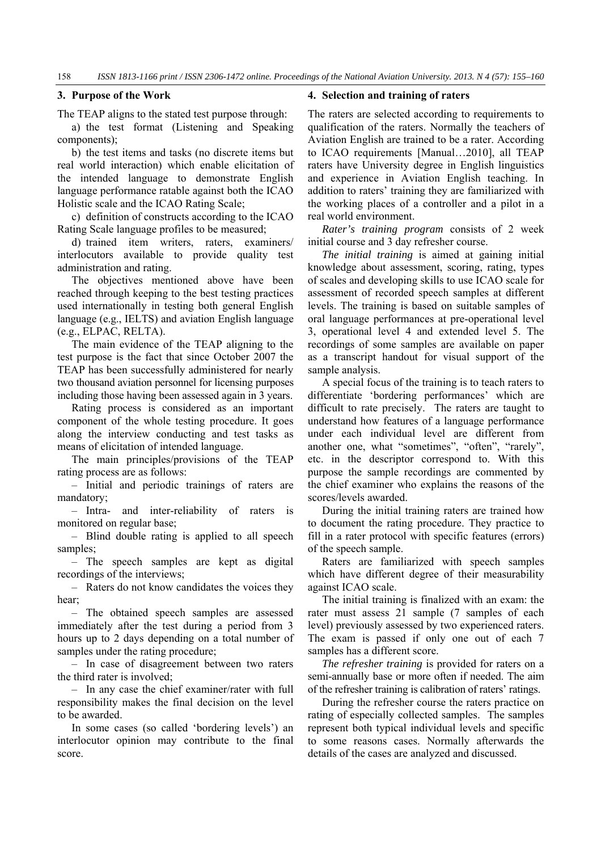# **3. Purpose of the Work**

The TEAP aligns to the stated test purpose through:

a) the test format (Listening and Speaking components);

b) the test items and tasks (no discrete items but real world interaction) which enable elicitation of the intended language to demonstrate English language performance ratable against both the ICAO Holistic scale and the ICAO Rating Scale;

c) definition of constructs according to the ICAO Rating Scale language profiles to be measured;

d) trained item writers, raters, examiners/ interlocutors available to provide quality test administration and rating.

The objectives mentioned above have been reached through keeping to the best testing practices used internationally in testing both general English language (e.g., IELTS) and aviation English language (e.g., ELPAC, RELTA).

The main evidence of the TEAP aligning to the test purpose is the fact that since October 2007 the TEAP has been successfully administered for nearly two thousand aviation personnel for licensing purposes including those having been assessed again in 3 years.

Rating process is considered as an important component of the whole testing procedure. It goes along the interview conducting and test tasks as means of elicitation of intended language.

The main principles/provisions of the TEAP rating process are as follows:

– Initial and periodic trainings of raters are mandatory;

– Intra- and inter-reliability of raters is monitored on regular base;

– Blind double rating is applied to all speech samples;

– The speech samples are kept as digital recordings of the interviews;

– Raters do not know candidates the voices they hear;

– The obtained speech samples are assessed immediately after the test during a period from 3 hours up to 2 days depending on a total number of samples under the rating procedure;

– In case of disagreement between two raters the third rater is involved;

– In any case the chief examiner/rater with full responsibility makes the final decision on the level to be awarded.

In some cases (so called 'bordering levels') an interlocutor opinion may contribute to the final score.

#### **4. Selection and training of raters**

The raters are selected according to requirements to qualification of the raters. Normally the teachers of Aviation English are trained to be a rater. According to ICAO requirements [Manual…2010], all TEAP raters have University degree in English linguistics and experience in Aviation English teaching. In addition to raters' training they are familiarized with the working places of a controller and a pilot in a real world environment.

*Rater's training program* consists of 2 week initial course and 3 day refresher course.

*The initial training* is aimed at gaining initial knowledge about assessment, scoring, rating, types of scales and developing skills to use ICAO scale for assessment of recorded speech samples at different levels. The training is based on suitable samples of oral language performances at pre-operational level 3, operational level 4 and extended level 5. The recordings of some samples are available on paper as a transcript handout for visual support of the sample analysis.

A special focus of the training is to teach raters to differentiate 'bordering performances' which are difficult to rate precisely. The raters are taught to understand how features of a language performance under each individual level are different from another one, what "sometimes", "often", "rarely", etc. in the descriptor correspond to. With this purpose the sample recordings are commented by the chief examiner who explains the reasons of the scores/levels awarded.

During the initial training raters are trained how to document the rating procedure. They practice to fill in a rater protocol with specific features (errors) of the speech sample.

Raters are familiarized with speech samples which have different degree of their measurability against ICAO scale.

The initial training is finalized with an exam: the rater must assess 21 sample (7 samples of each level) previously assessed by two experienced raters. The exam is passed if only one out of each 7 samples has a different score.

*The refresher training* is provided for raters on a semi-annually base or more often if needed. The aim of the refresher training is calibration of raters' ratings.

During the refresher course the raters practice on rating of especially collected samples. The samples represent both typical individual levels and specific to some reasons cases. Normally afterwards the details of the cases are analyzed and discussed.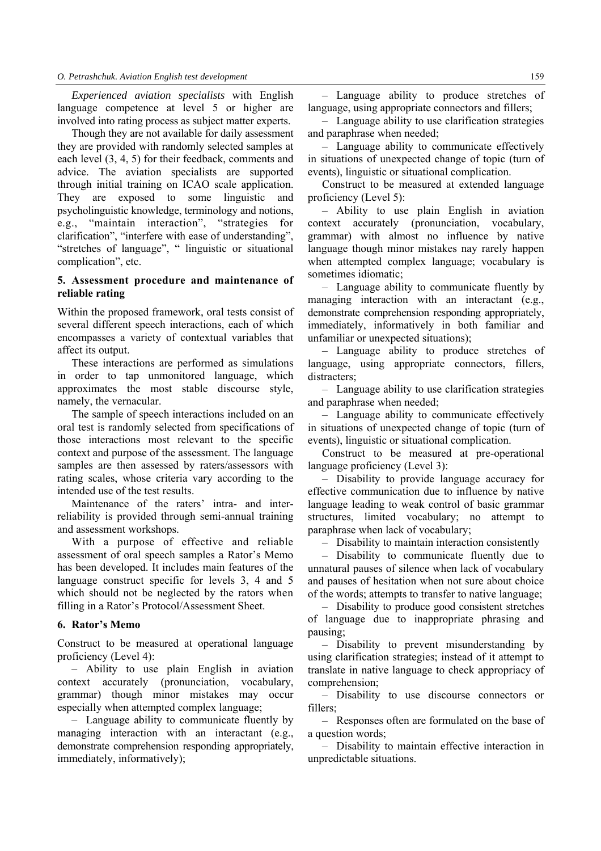*Experienced aviation specialists* with English language competence at level 5 or higher are involved into rating process as subject matter experts.

Though they are not available for daily assessment they are provided with randomly selected samples at each level (3, 4, 5) for their feedback, comments and advice. The aviation specialists are supported through initial training on ICAO scale application. They are exposed to some linguistic and psycholinguistic knowledge, terminology and notions, e.g., "maintain interaction", "strategies for clarification", "interfere with ease of understanding", "stretches of language", " linguistic or situational complication", etc.

# **5. Assessment procedure and maintenance of reliable rating**

Within the proposed framework, oral tests consist of several different speech interactions, each of which encompasses a variety of contextual variables that affect its output.

These interactions are performed as simulations in order to tap unmonitored language, which approximates the most stable discourse style, namely, the vernacular.

The sample of speech interactions included on an oral test is randomly selected from specifications of those interactions most relevant to the specific context and purpose of the assessment. The language samples are then assessed by raters/assessors with rating scales, whose criteria vary according to the intended use of the test results.

Maintenance of the raters' intra- and interreliability is provided through semi-annual training and assessment workshops.

With a purpose of effective and reliable assessment of oral speech samples a Rator's Memo has been developed. It includes main features of the language construct specific for levels 3, 4 and 5 which should not be neglected by the rators when filling in a Rator's Protocol/Assessment Sheet.

# **6. Rator's Memo**

Construct to be measured at operational language proficiency (Level 4):

– Ability to use plain English in aviation context accurately (pronunciation, vocabulary, grammar) though minor mistakes may occur especially when attempted complex language;

– Language ability to communicate fluently by managing interaction with an interactant (e.g., demonstrate comprehension responding appropriately, immediately, informatively);

– Language ability to produce stretches of language, using appropriate connectors and fillers;

– Language ability to use clarification strategies and paraphrase when needed;

– Language ability to communicate effectively in situations of unexpected change of topic (turn of events), linguistic or situational complication.

Construct to be measured at extended language proficiency (Level 5):

– Ability to use plain English in aviation context accurately (pronunciation, vocabulary, grammar) with almost no influence by native language though minor mistakes nay rarely happen when attempted complex language; vocabulary is sometimes idiomatic;

– Language ability to communicate fluently by managing interaction with an interactant (e.g., demonstrate comprehension responding appropriately, immediately, informatively in both familiar and unfamiliar or unexpected situations);

– Language ability to produce stretches of language, using appropriate connectors, fillers, distracters;

– Language ability to use clarification strategies and paraphrase when needed;

– Language ability to communicate effectively in situations of unexpected change of topic (turn of events), linguistic or situational complication.

Construct to be measured at pre-operational language proficiency (Level 3):

– Disability to provide language accuracy for effective communication due to influence by native language leading to weak control of basic grammar structures, limited vocabulary; no attempt to paraphrase when lack of vocabulary;

– Disability to maintain interaction consistently

– Disability to communicate fluently due to unnatural pauses of silence when lack of vocabulary and pauses of hesitation when not sure about choice of the words; attempts to transfer to native language;

– Disability to produce good consistent stretches of language due to inappropriate phrasing and pausing;

– Disability to prevent misunderstanding by using clarification strategies; instead of it attempt to translate in native language to check appropriacy of comprehension;

– Disability to use discourse connectors or fillers;

– Responses often are formulated on the base of a question words;

– Disability to maintain effective interaction in unpredictable situations.